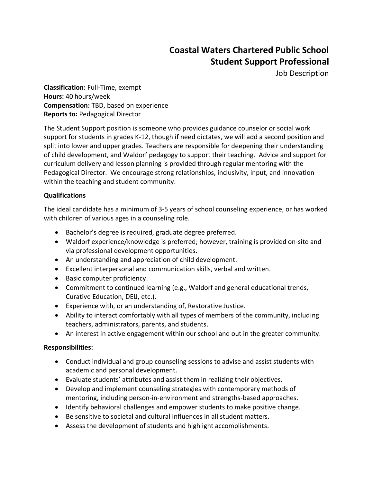## **Coastal Waters Chartered Public School Student Support Professional**

Job Description

**Classification:** Full-Time, exempt **Hours:** 40 hours/week **Compensation:** TBD, based on experience **Reports to:** Pedagogical Director

The Student Support position is someone who provides guidance counselor or social work support for students in grades K-12, though if need dictates, we will add a second position and split into lower and upper grades. Teachers are responsible for deepening their understanding of child development, and Waldorf pedagogy to support their teaching. Advice and support for curriculum delivery and lesson planning is provided through regular mentoring with the Pedagogical Director. We encourage strong relationships, inclusivity, input, and innovation within the teaching and student community.

## **Qualifications**

The ideal candidate has a minimum of 3-5 years of school counseling experience, or has worked with children of various ages in a counseling role.

- Bachelor's degree is required, graduate degree preferred.
- Waldorf experience/knowledge is preferred; however, training is provided on-site and via professional development opportunities.
- An understanding and appreciation of child development.
- Excellent interpersonal and communication skills, verbal and written.
- Basic computer proficiency.
- Commitment to continued learning (e.g., Waldorf and general educational trends, Curative Education, DEIJ, etc.).
- Experience with, or an understanding of, Restorative Justice.
- Ability to interact comfortably with all types of members of the community, including teachers, administrators, parents, and students.
- An interest in active engagement within our school and out in the greater community.

## **Responsibilities:**

- Conduct individual and group counseling sessions to advise and assist students with academic and personal development.
- Evaluate students' attributes and assist them in realizing their objectives.
- Develop and implement counseling strategies with contemporary methods of mentoring, including person-in-environment and strengths-based approaches.
- Identify behavioral challenges and empower students to make positive change.
- Be sensitive to societal and cultural influences in all student matters.
- Assess the development of students and highlight accomplishments.